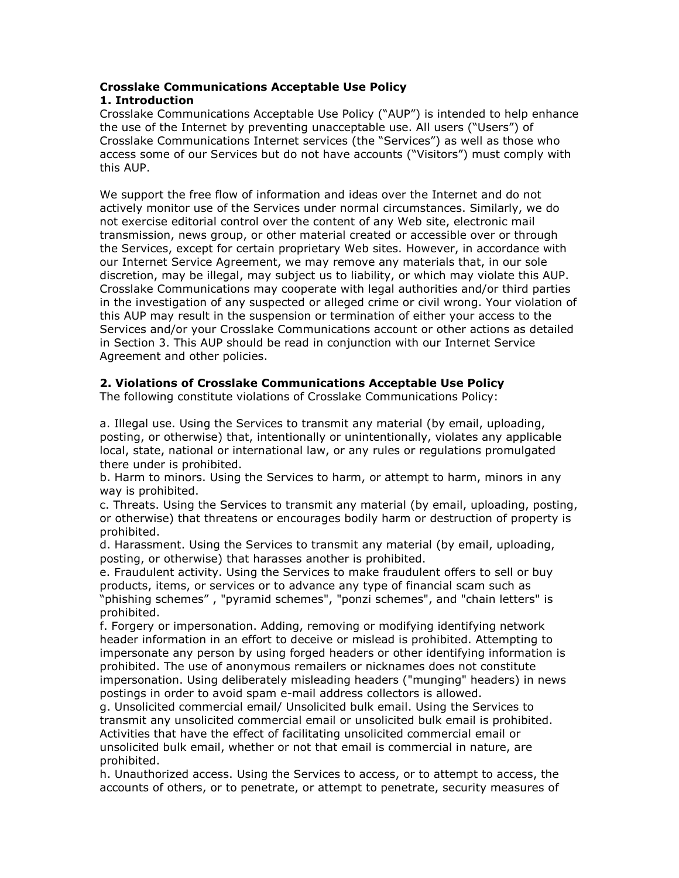# Crosslake Communications Acceptable Use Policy

### 1. Introduction

Crosslake Communications Acceptable Use Policy ("AUP") is intended to help enhance the use of the Internet by preventing unacceptable use. All users ("Users") of Crosslake Communications Internet services (the "Services") as well as those who access some of our Services but do not have accounts ("Visitors") must comply with this AUP.

We support the free flow of information and ideas over the Internet and do not actively monitor use of the Services under normal circumstances. Similarly, we do not exercise editorial control over the content of any Web site, electronic mail transmission, news group, or other material created or accessible over or through the Services, except for certain proprietary Web sites. However, in accordance with our Internet Service Agreement, we may remove any materials that, in our sole discretion, may be illegal, may subject us to liability, or which may violate this AUP. Crosslake Communications may cooperate with legal authorities and/or third parties in the investigation of any suspected or alleged crime or civil wrong. Your violation of this AUP may result in the suspension or termination of either your access to the Services and/or your Crosslake Communications account or other actions as detailed in Section 3. This AUP should be read in conjunction with our Internet Service Agreement and other policies.

## 2. Violations of Crosslake Communications Acceptable Use Policy

The following constitute violations of Crosslake Communications Policy:

a. Illegal use. Using the Services to transmit any material (by email, uploading, posting, or otherwise) that, intentionally or unintentionally, violates any applicable local, state, national or international law, or any rules or regulations promulgated there under is prohibited.

b. Harm to minors. Using the Services to harm, or attempt to harm, minors in any way is prohibited.

c. Threats. Using the Services to transmit any material (by email, uploading, posting, or otherwise) that threatens or encourages bodily harm or destruction of property is prohibited.

d. Harassment. Using the Services to transmit any material (by email, uploading, posting, or otherwise) that harasses another is prohibited.

e. Fraudulent activity. Using the Services to make fraudulent offers to sell or buy products, items, or services or to advance any type of financial scam such as "phishing schemes" , "pyramid schemes", "ponzi schemes", and "chain letters" is prohibited.

f. Forgery or impersonation. Adding, removing or modifying identifying network header information in an effort to deceive or mislead is prohibited. Attempting to impersonate any person by using forged headers or other identifying information is prohibited. The use of anonymous remailers or nicknames does not constitute impersonation. Using deliberately misleading headers ("munging" headers) in news postings in order to avoid spam e-mail address collectors is allowed.

g. Unsolicited commercial email/ Unsolicited bulk email. Using the Services to transmit any unsolicited commercial email or unsolicited bulk email is prohibited. Activities that have the effect of facilitating unsolicited commercial email or unsolicited bulk email, whether or not that email is commercial in nature, are prohibited.

h. Unauthorized access. Using the Services to access, or to attempt to access, the accounts of others, or to penetrate, or attempt to penetrate, security measures of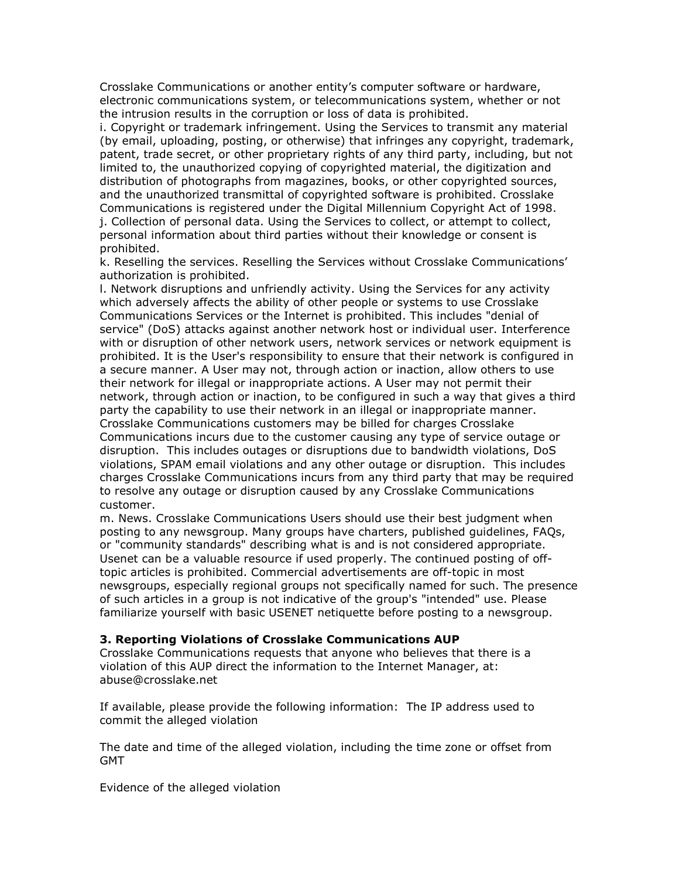Crosslake Communications or another entity's computer software or hardware, electronic communications system, or telecommunications system, whether or not the intrusion results in the corruption or loss of data is prohibited.

i. Copyright or trademark infringement. Using the Services to transmit any material (by email, uploading, posting, or otherwise) that infringes any copyright, trademark, patent, trade secret, or other proprietary rights of any third party, including, but not limited to, the unauthorized copying of copyrighted material, the digitization and distribution of photographs from magazines, books, or other copyrighted sources, and the unauthorized transmittal of copyrighted software is prohibited. Crosslake Communications is registered under the Digital Millennium Copyright Act of 1998. j. Collection of personal data. Using the Services to collect, or attempt to collect, personal information about third parties without their knowledge or consent is prohibited.

k. Reselling the services. Reselling the Services without Crosslake Communications' authorization is prohibited.

l. Network disruptions and unfriendly activity. Using the Services for any activity which adversely affects the ability of other people or systems to use Crosslake Communications Services or the Internet is prohibited. This includes "denial of service" (DoS) attacks against another network host or individual user. Interference with or disruption of other network users, network services or network equipment is prohibited. It is the User's responsibility to ensure that their network is configured in a secure manner. A User may not, through action or inaction, allow others to use their network for illegal or inappropriate actions. A User may not permit their network, through action or inaction, to be configured in such a way that gives a third party the capability to use their network in an illegal or inappropriate manner. Crosslake Communications customers may be billed for charges Crosslake Communications incurs due to the customer causing any type of service outage or disruption. This includes outages or disruptions due to bandwidth violations, DoS violations, SPAM email violations and any other outage or disruption. This includes charges Crosslake Communications incurs from any third party that may be required to resolve any outage or disruption caused by any Crosslake Communications customer.

m. News. Crosslake Communications Users should use their best judgment when posting to any newsgroup. Many groups have charters, published guidelines, FAQs, or "community standards" describing what is and is not considered appropriate. Usenet can be a valuable resource if used properly. The continued posting of offtopic articles is prohibited. Commercial advertisements are off-topic in most newsgroups, especially regional groups not specifically named for such. The presence of such articles in a group is not indicative of the group's "intended" use. Please familiarize yourself with basic USENET netiquette before posting to a newsgroup.

#### 3. Reporting Violations of Crosslake Communications AUP

Crosslake Communications requests that anyone who believes that there is a violation of this AUP direct the information to the Internet Manager, at: abuse@crosslake.net

If available, please provide the following information: The IP address used to commit the alleged violation

The date and time of the alleged violation, including the time zone or offset from GMT

Evidence of the alleged violation